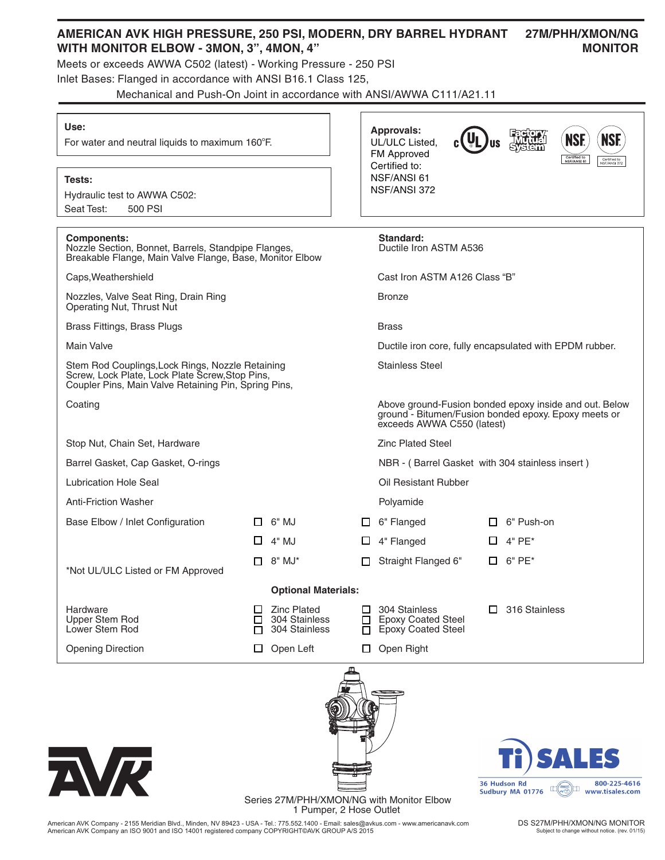# **AMERICAN AVK HIGH PRESSURE, 250 PSI, MODERN, DRY BARREL HYDRANT 27M/PHH/XMON/NG** WITH MONITOR ELBOW - 3MON, 3", 4MON, 4" MONITOR

**Approvals:** UL/ULC Listed, FM Approved Certified to: NSF/ANSI 61 NSF/ANSI 372

actory<br>Mutual<br>Nstem

**US** 

**NS** 

NSF

Meets or exceeds AWWA C502 (latest) - Working Pressure - 250 PSI

Inlet Bases: Flanged in accordance with ANSI B16.1 Class 125,

Mechanical and Push-On Joint in accordance with ANSI/AWWA C111/A21.11

#### **Use:**

For water and neutral liquids to maximum 160°F.

### **Tests:**

Hydraulic test to AWWA C502: Seat Test: 500 PSI

| <b>Components:</b><br>Nozzle Section, Bonnet, Barrels, Standpipe Flanges,<br>Breakable Flange, Main Valve Flange, Base, Monitor Elbow                       |              |                                                      |                                                                                                                                              | Standard:<br>Ductile Iron ASTM A536                                     |  |                                                               |
|-------------------------------------------------------------------------------------------------------------------------------------------------------------|--------------|------------------------------------------------------|----------------------------------------------------------------------------------------------------------------------------------------------|-------------------------------------------------------------------------|--|---------------------------------------------------------------|
| Caps, Weathershield                                                                                                                                         |              |                                                      |                                                                                                                                              | Cast Iron ASTM A126 Class "B"                                           |  |                                                               |
| Nozzles, Valve Seat Ring, Drain Ring<br>Operating Nut, Thrust Nut                                                                                           |              |                                                      |                                                                                                                                              | <b>Bronze</b>                                                           |  |                                                               |
| Brass Fittings, Brass Plugs                                                                                                                                 |              |                                                      |                                                                                                                                              | <b>Brass</b>                                                            |  |                                                               |
| <b>Main Valve</b>                                                                                                                                           |              |                                                      |                                                                                                                                              | Ductile iron core, fully encapsulated with EPDM rubber.                 |  |                                                               |
| Stem Rod Couplings, Lock Rings, Nozzle Retaining<br>Screw, Lock Plate, Lock Plate Screw, Stop Pins,<br>Coupler Pins, Main Valve Retaining Pin, Spring Pins, |              |                                                      |                                                                                                                                              | <b>Stainless Steel</b>                                                  |  |                                                               |
| Coating                                                                                                                                                     |              |                                                      | Above ground-Fusion bonded epoxy inside and out. Below<br>ground - Bitumen/Fusion bonded epoxy. Epoxy meets or<br>exceeds AWWA C550 (latest) |                                                                         |  |                                                               |
| Stop Nut, Chain Set, Hardware                                                                                                                               |              |                                                      |                                                                                                                                              | <b>Zinc Plated Steel</b>                                                |  |                                                               |
| Barrel Gasket, Cap Gasket, O-rings                                                                                                                          |              |                                                      |                                                                                                                                              | NBR - (Barrel Gasket with 304 stainless insert)                         |  |                                                               |
| Lubrication Hole Seal                                                                                                                                       |              |                                                      |                                                                                                                                              | Oil Resistant Rubber                                                    |  |                                                               |
| <b>Anti-Friction Washer</b>                                                                                                                                 |              |                                                      |                                                                                                                                              | Polyamide                                                               |  |                                                               |
| Base Elbow / Inlet Configuration                                                                                                                            | $\mathsf{L}$ | 6" MJ                                                |                                                                                                                                              | 6" Flanged                                                              |  | 6" Push-on                                                    |
|                                                                                                                                                             | $\Box$       | 4" MJ                                                | ப                                                                                                                                            | 4" Flanged                                                              |  | $4"PE*$                                                       |
| *Not UL/ULC Listed or FM Approved                                                                                                                           | П.           | 8" MJ*                                               |                                                                                                                                              | Straight Flanged 6"                                                     |  | $6"$ PE $*$                                                   |
| <b>Optional Materials:</b>                                                                                                                                  |              |                                                      |                                                                                                                                              |                                                                         |  |                                                               |
| Hardware<br><b>Upper Stem Rod</b><br>Lower Stem Rod                                                                                                         | $\Box$<br>П  | $\Box$ Zinc Plated<br>304 Stainless<br>304 Stainless | П<br>□<br>п                                                                                                                                  | 304 Stainless<br><b>Epoxy Coated Steel</b><br><b>Epoxy Coated Steel</b> |  | $\Box$ 316 Stainless                                          |
| <b>Opening Direction</b>                                                                                                                                    | ப            | Open Left                                            | $\Box$                                                                                                                                       | Open Right                                                              |  |                                                               |
| NR                                                                                                                                                          |              |                                                      |                                                                                                                                              |                                                                         |  | Ti) SALES<br>800-225-4616<br>36 Hudson Rd<br>Surface MA 01776 |



American AVK Company - 2155 Meridian Blvd., Minden, NV 89423 - USA - Tel.: 775.552.1400 - Email: sales@avkus.com - www.americanavk.com American AVK Company an ISO 9001 and ISO 14001 registered company COPYRIGHT©AVK GROUP A/S 2015

DS S27M/PHH/XMON/NG MONITOR Subject to change without notice. (rev. 01/15)

 $\Box(\overline{(\mathbf{w})})\Box$ 

Sudbury MA 01776

www.tisales.com